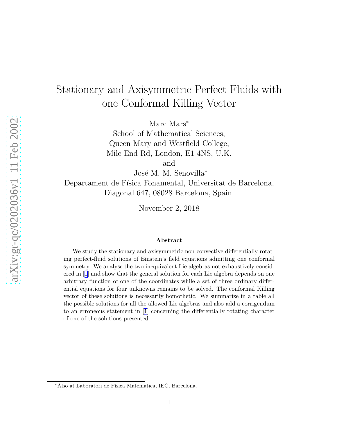# Stationary and Axisymmetric Perfect Fluids with one Conformal Killing Vector

Marc Mars<sup>\*</sup>

School of Mathematical Sciences, Queen Mary and Westfield College, Mile End Rd, London, E1 4NS, U.K.

and

José M. M. Senovilla<sup>\*</sup> Departament de Física Fonamental, Universitat de Barcelona, Diagonal 647, 08028 Barcelona, Spain.

November 2, 2018

#### Abstract

We study the stationary and axisymmetric non-convective differentially rotating perfect-fluid solutions of Einstein's field equations admitting one conformal symmetry. We analyse the two inequivalent Lie algebras not exhaustively considered in[[1](#page-23-0)] and show that the general solution for each Lie algebra depends on one arbitrary function of one of the coordinates while a set of three ordinary differential equations for four unknowns remains to be solved. The conformal Killing vector of these solutions is necessarily homothetic. We summarize in a table all the possible solutions for all the allowed Lie algebras and also add a corrigendum to an erroneous statement in[[1](#page-23-0)] concerning the differentially rotating character of one of the solutions presented.

<sup>∗</sup>Also at Laboratori de F´ısica Matem`atica, IEC, Barcelona.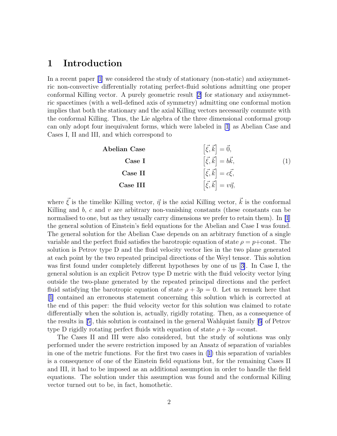#### <span id="page-1-0"></span>1 Introduction

In a recent paper [\[1\]](#page-23-0) we considered the study of stationary (non-static) and axisymmetric non-convective differentially rotating perfect-fluid solutions admitting one proper conformal Killing vector. A purely geometric result[[2\]](#page-23-0) for stationary and axisymmetric spacetimes (with a well-defined axis of symmetry) admitting one conformal motion implies that both the stationary and the axial Killing vectors necessarily commute with the conformal Killing. Thus, the Lie algebra of the three dimensional conformal group can only adopt four inequivalent forms, which were labeled in [\[1](#page-23-0)] as Abelian Case and Cases I, II and III, and which correspond to

| Abelian Case | $\left[\vec{\xi}, \vec{k}\right] = \vec{0},$     |  |
|--------------|--------------------------------------------------|--|
| Case I       | $\left[\vec{\xi}, \vec{k}\right] = b\vec{k},$    |  |
| Case II      | $\left[\vec{\xi}, \vec{k}\right] = c\vec{\xi},$  |  |
| Case III     | $\left[\vec{\xi}, \vec{k}\right] = v\vec{\eta},$ |  |

where  $\vec{\xi}$  is the timelike Killing vector,  $\vec{\eta}$  is the axial Killing vector,  $\vec{k}$  is the conformal Killing and  $b$ ,  $c$  and  $v$  are arbitrary non-vanishing constants (these constants can be normalised to one, but as they usually carry dimensions we prefer to retain them). In [\[1](#page-23-0)] the general solution of Einstein's field equations for the Abelian and Case I was found. The general solution for the Abelian Case depends on an arbitrary function of a single variable and the perfect fluid satisfies the barotropic equation of state  $\rho = p + const.$  The solution is Petrov type D and the fluid velocity vector lies in the two plane generated at each point by the two repeated principal directions of the Weyl tensor. This solution was first found under completely different hypotheses by one of us [[3\]](#page-23-0). In Case I, the general solution is an explicit Petrov type D metric with the fluid velocity vector lying outside the two-plane generated by the repeated principal directions and the perfect fluid satisfying the barotropic equation of state  $\rho + 3p = 0$ . Let us remark here that [\[1](#page-23-0)] contained an erroneous statement concerning this solution which is corrected at the end of this paper: the fluid velocity vector for this solution was claimed to rotate differentially when the solution is, actually, rigidly rotating. Then, as a consequence of the results in[[5\]](#page-23-0), this solution is contained in the general Wahlquist family[[6](#page-23-0)] of Petrov type D rigidly rotating perfect fluids with equation of state  $\rho + 3p = \text{const.}$ 

The Cases II and III were also considered, but the study of solutions was only performed under the severe restriction imposed by an Ansatz of separation of variables in one of the metric functions. For the first two cases in (1) this separation of variables is a consequence of one of the Einstein field equations but, for the remaining Cases II and III, it had to be imposed as an additional assumption in order to handle the field equations. The solution under this assumption was found and the conformal Killing vector turned out to be, in fact, homothetic.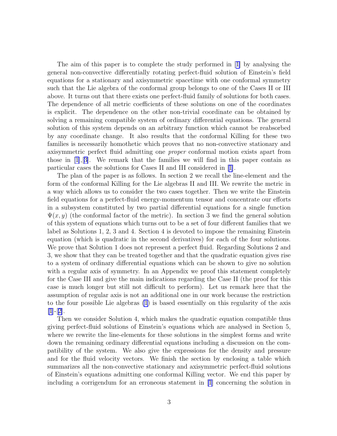The aim of this paper is to complete the study performed in[[1\]](#page-23-0) by analysing the general non-convective differentially rotating perfect-fluid solution of Einstein's field equations for a stationary and axisymmetric spacetime with one conformal symmetry such that the Lie algebra of the conformal group belongs to one of the Cases II or III above. It turns out that there exists one perfect-fluid family of solutions for both cases. The dependence of all metric coefficients of these solutions on one of the coordinates is explicit. The dependence on the other non-trivial coordinate can be obtained by solving a remaining compatible system of ordinary differential equations. The general solution of this system depends on an arbitrary function which cannot be reabsorbed by any coordinate change. It also results that the conformal Killing for these two families is necessarily homothetic which proves that no non-convective stationary and axisymmetric perfect fluid admitting one proper conformal motion exists apart from those in  $[1], [3]$  $[1], [3]$ . We remark that the families we will find in this paper contain as particular cases the solutions for Cases II and III considered in [\[1\]](#page-23-0).

The plan of the paper is as follows. In section 2 we recall the line-element and the form of the conformal Killing for the Lie algebras II and III. We rewrite the metric in a way which allows us to consider the two cases together. Then we write the Einstein field equations for a perfect-fluid energy-momentum tensor and concentrate our efforts in a subsystem constituted by two partial differential equations for a single function  $\Psi(x, y)$  (the conformal factor of the metric). In section 3 we find the general solution of this system of equations which turns out to be a set of four different families that we label as Solutions 1, 2, 3 and 4. Section 4 is devoted to impose the remaining Einstein equation (which is quadratic in the second derivatives) for each of the four solutions. We prove that Solution 1 does not represent a perfect fluid. Regarding Solutions 2 and 3, we show that they can be treated together and that the quadratic equation gives rise to a system of ordinary differential equations which can be shown to give no solution with a regular axis of symmetry. In an Appendix we proof this statement completely for the Case III and give the main indications regarding the Case II (the proof for this case is much longer but still not difficult to perform). Let us remark here that the assumption of regular axis is not an additional one in our work because the restriction to the four possible Lie algebras [\(1](#page-1-0)) is based essentially on this regularity of the axis  $|1|-|2|$ .

Then we consider Solution 4, which makes the quadratic equation compatible thus giving perfect-fluid solutions of Einstein's equations which are analysed in Section 5, where we rewrite the line-elements for these solutions in the simplest forms and write down the remaining ordinary differential equations including a discussion on the compatibility of the system. We also give the expressions for the density and pressure and for the fluid velocity vectors. We finish the section by enclosing a table which summarizes all the non-convective stationary and axisymmetric perfect-fluid solutions of Einstein's equations admitting one conformal Killing vector. We end this paper by including a corrigendum for an erroneous statement in [\[1](#page-23-0)] concerning the solution in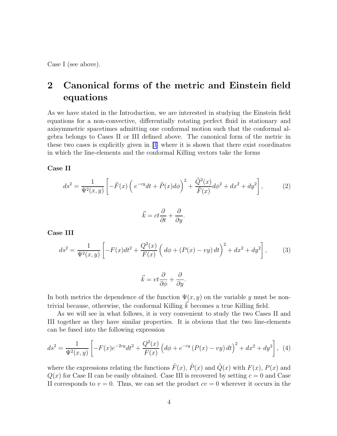<span id="page-3-0"></span>Case I (see above).

## 2 Canonical forms of the metric and Einstein field equations

As we have stated in the Introduction, we are interested in studying the Einstein field equations for a non-convective, differentially rotating perfect fluid in stationary and axisymmetric spacetimes admitting one conformal motion such that the conformal algebra belongs to Cases II or III defined above. The canonical form of the metric in these two cases is explicitly given in [\[1](#page-23-0)] where it is shown that there exist coordinates in which the line-elements and the conformal Killing vectors take the forms

Case II

$$
ds^2 = \frac{1}{\Psi^2(x,y)} \left[ -\tilde{F}(x) \left( e^{-cy} dt + \tilde{P}(x) d\phi \right)^2 + \frac{\tilde{Q}^2(x)}{\tilde{F}(x)} d\phi^2 + dx^2 + dy^2 \right],\tag{2}
$$

$$
\vec{k} = ct\frac{\partial}{\partial t} + \frac{\partial}{\partial y}.
$$

Case III

$$
ds^{2} = \frac{1}{\Psi^{2}(x, y)} \left[ -F(x)dt^{2} + \frac{Q^{2}(x)}{F(x)} \left( d\phi + (P(x) - vy) dt \right)^{2} + dx^{2} + dy^{2} \right],
$$
 (3)

$$
\vec{k} = vt \frac{\partial}{\partial \phi} + \frac{\partial}{\partial y}.
$$

In both metrics the dependence of the function  $\Psi(x, y)$  on the variable y must be nontrivial because, otherwise, the conformal Killing  $\vec{k}$  becomes a true Killing field.

As we will see in what follows, it is very convenient to study the two Cases II and III together as they have similar properties. It is obvious that the two line-elements can be fused into the following expression

$$
ds^{2} = \frac{1}{\Psi^{2}(x,y)} \left[ -F(x)e^{-2cy}dt^{2} + \frac{Q^{2}(x)}{F(x)} \left( d\phi + e^{-cy} \left( P(x) - vy \right) dt \right)^{2} + dx^{2} + dy^{2} \right], \tag{4}
$$

where the expressions relating the functions  $\tilde{F}(x)$ ,  $\tilde{P}(x)$  and  $\tilde{Q}(x)$  with  $F(x)$ ,  $P(x)$  and  $Q(x)$  for Case II can be easily obtained. Case III is recovered by setting  $c = 0$  and Case II corresponds to  $v = 0$ . Thus, we can set the product  $cv = 0$  wherever it occurs in the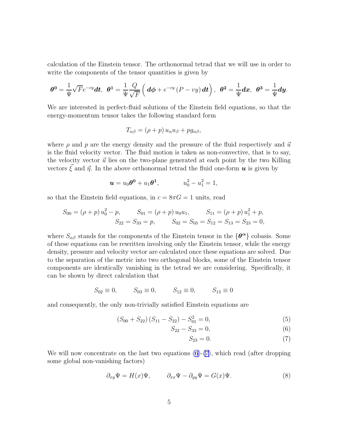<span id="page-4-0"></span>calculation of the Einstein tensor. The orthonormal tetrad that we will use in order to write the components of the tensor quantities is given by

$$
\theta^0 = \frac{1}{\Psi} \sqrt{F} e^{-cy} dt, \quad \theta^1 = \frac{1}{\Psi} \frac{Q}{\sqrt{F}} \left( d\phi + e^{-cy} (P - vy) dt \right), \quad \theta^2 = \frac{1}{\Psi} dx, \quad \theta^3 = \frac{1}{\Psi} dy.
$$

We are interested in perfect-fluid solutions of the Einstein field equations, so that the energy-momentum tensor takes the following standard form

$$
T_{\alpha\beta} = (\rho + p) u_{\alpha} u_{\beta} + p g_{\alpha\beta},
$$

where  $\rho$  and p are the energy density and the pressure of the fluid respectively and  $\vec{u}$ is the fluid velocity vector. The fluid motion is taken as non-convective, that is to say, the velocity vector  $\vec{u}$  lies on the two-plane generated at each point by the two Killing vectors  $\xi$  and  $\vec{\eta}$ . In the above orthonormal tetrad the fluid one-form  $\vec{u}$  is given by

$$
u = u_0 \theta^0 + u_1 \theta^1, \qquad \qquad u_0^2 - u_1^2 = 1,
$$

so that the Einstein field equations, in  $c = 8\pi G = 1$  units, read

$$
S_{00} = (\rho + p) u_0^2 - p, \qquad S_{01} = (\rho + p) u_0 u_1, \qquad S_{11} = (\rho + p) u_1^2 + p, S_{22} = S_{33} = p, \qquad S_{02} = S_{03} = S_{12} = S_{13} = S_{23} = 0,
$$

where  $S_{\alpha\beta}$  stands for the components of the Einstein tensor in the  $\{\theta^{\alpha}\}$  cobasis. Some of these equations can be rewritten involving only the Einstein tensor, while the energy density, pressure and velocity vector are calculated once these equations are solved. Due to the separation of the metric into two orthogonal blocks, some of the Einstein tensor components are identically vanishing in the tetrad we are considering. Specifically, it can be shown by direct calculation that

$$
S_{02} \equiv 0
$$
,  $S_{03} \equiv 0$ ,  $S_{12} \equiv 0$ ,  $S_{13} \equiv 0$ 

and consequently, the only non-trivially satisfied Einstein equations are

$$
(S_{00} + S_{22}) (S_{11} - S_{22}) - S_{01}^2 = 0,
$$
\n<sup>(5)</sup>

$$
S_{22} - S_{33} = 0,\t\t(6)
$$

$$
S_{23} = 0.\t\t(7)
$$

We will now concentrate on the last two equations  $(6)-(7)$ , which read (after dropping some global non-vanishing factors)

$$
\partial_{xy}\Psi = H(x)\Psi, \qquad \partial_{xx}\Psi - \partial_{yy}\Psi = G(x)\Psi.
$$
 (8)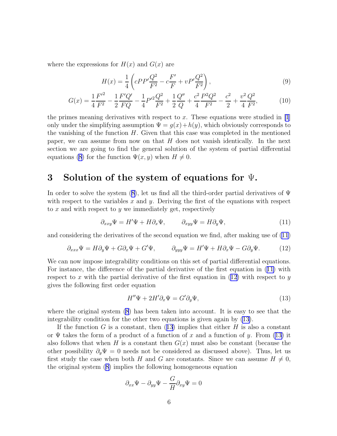<span id="page-5-0"></span>where the expressions for  $H(x)$  and  $G(x)$  are

$$
H(x) = \frac{1}{4} \left( cPP' \frac{Q^2}{F^2} - c\frac{F'}{F} + vP' \frac{Q^2}{F^2} \right),\tag{9}
$$

$$
G(x) = \frac{1}{4} \frac{F'^2}{F^2} - \frac{1}{2} \frac{F'Q'}{FQ} - \frac{1}{4} P'^2 \frac{Q^2}{F^2} + \frac{1}{2} \frac{Q''}{Q} + \frac{c^2}{4} \frac{P^2 Q^2}{F^2} - \frac{c^2}{2} + \frac{v^2}{4} \frac{Q^2}{F^2},
$$
(10)

the primes meaning derivatives with respect to x. These equations were studied in  $[1]$ only under the simplifying assumption  $\Psi = g(x) + h(y)$ , which obviously corresponds to the vanishing of the function  $H$ . Given that this case was completed in the mentioned paper, we can assume from now on that  $H$  does not vanish identically. In the next section we are going to find the general solution of the system of partial differential equations [\(8](#page-4-0)) for the function  $\Psi(x, y)$  when  $H \neq 0$ .

#### 3 Solution of the system of equations for  $\Psi$ .

Inorder to solve the system ([8\)](#page-4-0), let us find all the third-order partial derivatives of  $\Psi$ with respect to the variables x and y. Deriving the first of the equations with respect to x and with respect to y we immediately get, respectively

$$
\partial_{xxy}\Psi = H'\Psi + H\partial_x\Psi, \qquad \partial_{xyy}\Psi = H\partial_y\Psi,\tag{11}
$$

and considering the derivatives of the second equation we find, after making use of (11)

$$
\partial_{xxx}\Psi = H\partial_y\Psi + G\partial_x\Psi + G'\Psi, \qquad \partial_{yyy}\Psi = H'\Psi + H\partial_x\Psi - G\partial_y\Psi. \tag{12}
$$

We can now impose integrability conditions on this set of partial differential equations. For instance, the difference of the partial derivative of the first equation in (11) with respect to x with the partial derivative of the first equation in  $(12)$  with respect to y gives the following first order equation

$$
H''\Psi + 2H'\partial_x\Psi = G'\partial_y\Psi,
$$
\n(13)

where the original system [\(8](#page-4-0)) has been taken into account. It is easy to see that the integrability condition for the other two equations is given again by (13).

If the function G is a constant, then  $(13)$  implies that either H is also a constant or  $\Psi$  takes the form of a product of a function of x and a function of y. From (13) it also follows that when H is a constant then  $G(x)$  must also be constant (because the other possibility  $\partial_y \Psi = 0$  needs not be considered as discussed above). Thus, let us first study the case when both H and G are constants. Since we can assume  $H \neq 0$ , the original system([8\)](#page-4-0) implies the following homogeneous equation

$$
\partial_{xx}\Psi - \partial_{yy}\Psi - \frac{G}{H}\partial_{xy}\Psi = 0
$$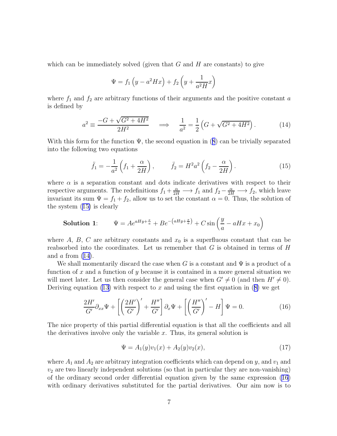<span id="page-6-0"></span>which can be immediately solved (given that  $G$  and  $H$  are constants) to give

$$
\Psi = f_1 \left( y - a^2 H x \right) + f_2 \left( y + \frac{1}{a^2 H} x \right)
$$

where  $f_1$  and  $f_2$  are arbitrary functions of their arguments and the positive constant a is defined by

$$
a^{2} \equiv \frac{-G + \sqrt{G^{2} + 4H^{2}}}{2H^{2}} \quad \Longrightarrow \quad \frac{1}{a^{2}} = \frac{1}{2} \left( G + \sqrt{G^{2} + 4H^{2}} \right). \tag{14}
$$

Withthis form for the function  $\Psi$ , the second equation in ([8](#page-4-0)) can be trivially separated into the following two equations

$$
\ddot{f}_1 = -\frac{1}{a^2} \left( f_1 + \frac{\alpha}{2H} \right), \qquad \ddot{f}_2 = H^2 a^2 \left( f_2 - \frac{\alpha}{2H} \right). \tag{15}
$$

where  $\alpha$  is a separation constant and dots indicate derivatives with respect to their respective arguments. The redefinitions  $f_1 + \frac{\alpha}{2H} \longrightarrow f_1$  and  $f_2 - \frac{\alpha}{2H} \longrightarrow f_2$ , which leave invariant its sum  $\Psi = f_1 + f_2$ , allow us to set the constant  $\alpha = 0$ . Thus, the solution of the system (15) is clearly

**Solution 1:** 
$$
\Psi = Ae^{aHy + \frac{x}{a}} + Be^{-(aHy + \frac{x}{a})} + C\sin\left(\frac{y}{a} - aHx + x_0\right)
$$

where A, B, C are arbitrary constants and  $x<sub>0</sub>$  is a superfluous constant that can be reabsorbed into the coordinates. Let us remember that  $G$  is obtained in terms of  $H$ and  $a$  from  $(14)$ .

We shall momentarily discard the case when G is a constant and  $\Psi$  is a product of a function of x and a function of y because it is contained in a more general situation we will meet later. Let us then consider the general case when  $G' \neq 0$  (and then  $H' \neq 0$ ). Deriving equation [\(13\)](#page-5-0)with respect to x and using the first equation in  $(8)$  $(8)$  we get

$$
\frac{2H'}{G'}\partial_{xx}\Psi + \left[\left(\frac{2H'}{G'}\right)' + \frac{H''}{G'}\right]\partial_x\Psi + \left[\left(\frac{H''}{G'}\right)' - H\right]\Psi = 0.
$$
\n(16)

The nice property of this partial differential equation is that all the coefficients and all the derivatives involve only the variable  $x$ . Thus, its general solution is

$$
\Psi = A_1(y)v_1(x) + A_2(y)v_2(x),\tag{17}
$$

where  $A_1$  and  $A_2$  are arbitrary integration coefficients which can depend on y, and  $v_1$  and  $v_2$  are two linearly independent solutions (so that in particular they are non-vanishing) of the ordinary second order differential equation given by the same expression (16) with ordinary derivatives substituted for the partial derivatives. Our aim now is to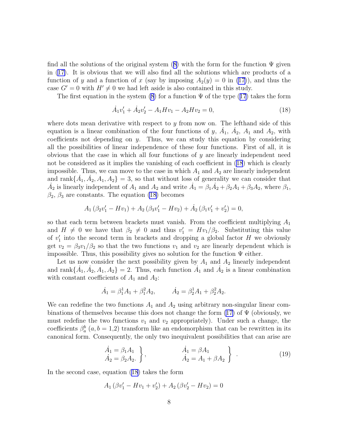<span id="page-7-0"></span>findall the solutions of the original system ([8\)](#page-4-0) with the form for the function  $\Psi$  given in [\(17\)](#page-6-0). It is obvious that we will also find all the solutions which are products of a function of y and a function of x (say by imposing  $A_2(y) = 0$  in [\(17\)](#page-6-0)), and thus the case  $G' = 0$  with  $H' \neq 0$  we had left aside is also contained in this study.

The first equation in the system [\(8](#page-4-0))for a function  $\Psi$  of the type ([17](#page-6-0)) takes the form

$$
\dot{A}_1 v_1' + \dot{A}_2 v_2' - A_1 H v_1 - A_2 H v_2 = 0,\t\t(18)
$$

where dots mean derivative with respect to  $y$  from now on. The lefthand side of this equation is a linear combination of the four functions of y,  $\dot{A}_1$ ,  $\dot{A}_2$ ,  $A_1$  and  $A_2$ , with coefficients not depending on y. Thus, we can study this equation by considering all the possibilities of linear independence of these four functions. First of all, it is obvious that the case in which all four functions of  $y$  are linearly independent need not be considered as it implies the vanishing of each coefficient in (18) which is clearly impossible. Thus, we can move to the case in which  $A_1$  and  $A_2$  are linearly independent and rank $\{A_1, A_2, A_1, A_2\} = 3$ , so that without loss of generality we can consider that  $\dot{A}_2$  is linearly independent of  $A_1$  and  $A_2$  and write  $\dot{A}_1 = \beta_1 \dot{A}_2 + \beta_2 A_1 + \beta_3 A_2$ , where  $\beta_1$ ,  $\beta_2$ ,  $\beta_3$  are constants. The equation (18) becomes

$$
A_1 (\beta_2 v'_1 - Hv_1) + A_2 (\beta_3 v'_1 - Hv_2) + \dot{A}_2 (\beta_1 v'_1 + v'_2) = 0,
$$

so that each term between brackets must vanish. From the coefficient multiplying  $A_1$ and  $H \neq 0$  we have that  $\beta_2 \neq 0$  and thus  $v'_1 = Hv_1/\beta_2$ . Substituting this value of  $v_1'$  $\frac{1}{1}$  into the second term in brackets and dropping a global factor H we obviously get  $v_2 = \beta_3 v_1/\beta_2$  so that the two functions  $v_1$  and  $v_2$  are linearly dependent which is impossible. Thus, this possibility gives no solution for the function  $\Psi$  either.

Let us now consider the next possibility given by  $A_1$  and  $A_2$  linearly independent and rank $\{\dot{A}_1, \dot{A}_2, A_1, A_2\} = 2$ . Thus, each function  $\dot{A}_1$  and  $\dot{A}_2$  is a linear combination with constant coefficients of  $A_1$  and  $A_2$ :

$$
\dot{A}_1 = \beta_1^1 A_1 + \beta_1^2 A_2, \qquad \dot{A}_2 = \beta_2^1 A_1 + \beta_2^2 A_2.
$$

We can redefine the two functions  $A_1$  and  $A_2$  using arbitrary non-singular linear combinationsof themselves because this does not change the form  $(17)$  $(17)$  of  $\Psi$  (obviously, we must redefine the two functions  $v_1$  and  $v_2$  appropriately). Under such a change, the coefficients  $\beta_a^b$   $(a, b = 1, 2)$  transform like an endomorphism that can be rewritten in its canonical form. Consequently, the only two inequivalent possibilities that can arise are

$$
\begin{aligned}\n\dot{A}_1 &= \beta_1 A_1 \\
\dot{A}_2 &= \beta_2 A_2.\n\end{aligned}
$$
,\n
$$
\begin{aligned}\n\dot{A}_1 &= \beta A_1 \\
\dot{A}_2 &= A_1 + \beta A_2\n\end{aligned}
$$
\n(19)

In the second case, equation (18) takes the form

$$
A_1 (\beta v_1' - Hv_1 + v_2') + A_2 (\beta v_2' - Hv_2) = 0
$$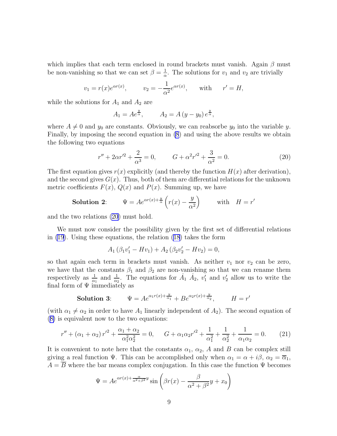which implies that each term enclosed in round brackets must vanish. Again  $\beta$  must be non-vanishing so that we can set  $\beta = \frac{1}{\alpha}$  $\frac{1}{\alpha}$ . The solutions for  $v_1$  and  $v_2$  are trivially

$$
v_1 = r(x)e^{\alpha r(x)}
$$
,  $v_2 = -\frac{1}{\alpha^2}e^{\alpha r(x)}$ , with  $r' = H$ ,

while the solutions for  $A_1$  and  $A_2$  are

$$
A_1 = Ae^{\frac{y}{\alpha}}, \qquad A_2 = A (y - y_0) e^{\frac{y}{\alpha}},
$$

where  $A \neq 0$  and  $y_0$  are constants. Obviously, we can reabsorbe  $y_0$  into the variable y. Finally, by imposing the second equation in [\(8](#page-4-0)) and using the above results we obtain the following two equations

$$
r'' + 2\alpha r'^2 + \frac{2}{\alpha^3} = 0, \qquad G + \alpha^2 r'^2 + \frac{3}{\alpha^2} = 0.
$$
 (20)

The first equation gives  $r(x)$  explicitly (and thereby the function  $H(x)$  after derivation), and the second gives  $G(x)$ . Thus, both of them are differential relations for the unknown metric coefficients  $F(x)$ ,  $Q(x)$  and  $P(x)$ . Summing up, we have

**Solution 2:** 
$$
\Psi = Ae^{\alpha r(x) + \frac{y}{\alpha}} \left( r(x) - \frac{y}{\alpha^2} \right) \quad \text{with} \quad H = r'
$$

and the two relations (20) must hold.

We must now consider the possibility given by the first set of differential relations in [\(19](#page-7-0)). Using these equations, the relation [\(18](#page-7-0)) takes the form

$$
A_1 (\beta_1 v'_1 - Hv_1) + A_2 (\beta_2 v'_2 - Hv_2) = 0,
$$

so that again each term in brackets must vanish. As neither  $v_1$  nor  $v_2$  can be zero, we have that the constants  $\beta_1$  and  $\beta_2$  are non-vanishing so that we can rename them respectively as  $\frac{1}{\alpha_1}$  and  $\frac{1}{\alpha_2}$ . The equations for  $\dot{A}_1$   $\dot{A}_2$ ,  $v'_1$  and  $v'_2$  allow us to write the final form of  $\Psi$  immediately as

**Solution 3:** 
$$
\Psi = Ae^{\alpha_1 r(x) + \frac{y}{\alpha_1}} + Be^{\alpha_2 r(x) + \frac{y}{\alpha_2}}, \qquad H = r'
$$

(with  $\alpha_1 \neq \alpha_2$  in order to have  $A_1$  linearly independent of  $A_2$ ). The second equation of ([8\)](#page-4-0) is equivalent now to the two equations:

$$
r'' + (\alpha_1 + \alpha_2) r'^2 + \frac{\alpha_1 + \alpha_2}{\alpha_1^2 \alpha_2^2} = 0, \qquad G + \alpha_1 \alpha_2 r'^2 + \frac{1}{\alpha_1^2} + \frac{1}{\alpha_2^2} + \frac{1}{\alpha_1 \alpha_2} = 0. \tag{21}
$$

It is convenient to note here that the constants  $\alpha_1$ ,  $\alpha_2$ , A and B can be complex still giving a real function  $\Psi$ . This can be accomplished only when  $\alpha_1 = \alpha + i\beta$ ,  $\alpha_2 = \overline{\alpha}_1$ ,  $A = \overline{B}$  where the bar means complex conjugation. In this case the function  $\Psi$  becomes

$$
\Psi = Ae^{\alpha r(x) + \frac{\alpha}{\alpha^2 + \beta^2}y} \sin \left( \beta r(x) - \frac{\beta}{\alpha^2 + \beta^2}y + x_0 \right)
$$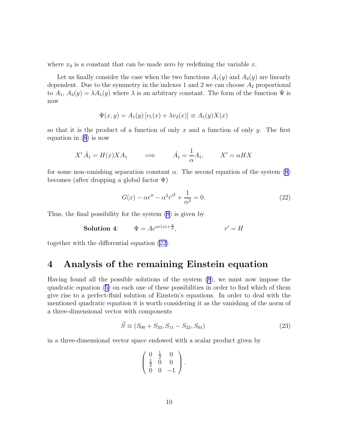<span id="page-9-0"></span>where  $x_0$  is a constant that can be made zero by redefining the variable x.

Let us finally consider the case when the two functions  $A_1(y)$  and  $A_2(y)$  are linearly dependent. Due to the symmetry in the indexes 1 and 2 we can choose  $A_2$  proportional to  $A_1, A_2(y) = \lambda A_1(y)$  where  $\lambda$  is an arbitrary constant. The form of the function  $\Psi$  is now

$$
\Psi(x, y) = A_1(y) [v_1(x) + \lambda v_2(x)] \equiv A_1(y)X(x)
$$

so that it is the product of a function of only x and a function of only y. The first equation in [\(8](#page-4-0)) is now

$$
X' \dot{A}_1 = H(x) X A_1 \qquad \Longrightarrow \qquad \dot{A}_1 = \frac{1}{\alpha} A_1, \qquad X' = \alpha H X
$$

for some non-vanishing separation constant  $\alpha$ . The second equation of the system [\(8\)](#page-4-0) becomes (after dropping a global factor  $\Psi$ )

$$
G(x) - \alpha r'' - \alpha^2 r'^2 + \frac{1}{\alpha^2} = 0.
$$
 (22)

Thus, the final possibility for the system [\(8](#page-4-0)) is given by

**Solution 4:** 
$$
\Psi = Ae^{\alpha r(x) + \frac{y}{\alpha}}, \qquad r' = H
$$

together with the differential equation (22).

#### 4 Analysis of the remaining Einstein equation

Having found all the possible solutions of the system [\(8](#page-4-0)), we must now impose the quadratic equation([5\)](#page-4-0) on each one of these possibilities in order to find which of them give rise to a perfect-fluid solution of Einstein's equations. In order to deal with the mentioned quadratic equation it is worth considering it as the vanishing of the norm of a three-dimensional vector with components

$$
\vec{S} \equiv (S_{00} + S_{33}, S_{11} - S_{22}, S_{01}) \tag{23}
$$

in a three-dimensional vector space endowed with a scalar product given by

$$
\left(\begin{array}{ccc} 0 & \frac{1}{2} & 0 \\ \frac{1}{2} & 0 & 0 \\ 0 & 0 & -1 \end{array}\right).
$$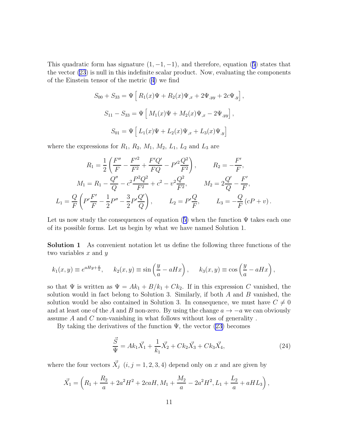<span id="page-10-0"></span>Thisquadratic form has signature  $(1, -1, -1)$ , and therefore, equation ([5](#page-4-0)) states that the vector [\(23](#page-9-0)) is null in this indefinite scalar product. Now, evaluating the components of the Einstein tensor of the metric [\(4\)](#page-3-0) we find

$$
S_{00} + S_{33} = \Psi \left[ R_1(x)\Psi + R_2(x)\Psi_{,x} + 2\Psi_{,yy} + 2c\Psi_{,y} \right],
$$
  
\n
$$
S_{11} - S_{33} = \Psi \left[ M_1(x)\Psi + M_2(x)\Psi_{,x} - 2\Psi_{,yy} \right],
$$
  
\n
$$
S_{01} = \Psi \left[ L_1(x)\Psi + L_2(x)\Psi_{,x} + L_3(x)\Psi_{,y} \right]
$$

where the expressions for  $R_1$ ,  $R_2$ ,  $M_1$ ,  $M_2$ ,  $L_1$ ,  $L_2$  and  $L_3$  are

$$
R_1 = \frac{1}{2} \left( \frac{F''}{F} - \frac{F'^2}{F^2} + \frac{F'Q'}{FQ} - P'^2 \frac{Q^2}{F^2} \right), \qquad R_2 = -\frac{F'}{F},
$$
  

$$
M_1 = R_1 - \frac{Q''}{Q} - c^2 \frac{P^2 Q^2}{F^2} + c^2 - v^2 \frac{Q^2}{F^2}, \qquad M_2 = 2\frac{Q'}{Q} - \frac{F'}{F},
$$
  

$$
L_1 = \frac{Q}{F} \left( P' \frac{F'}{F} - \frac{1}{2} P'' - \frac{3}{2} P' \frac{Q'}{Q} \right), \qquad L_2 = P' \frac{Q}{F}, \qquad L_3 = -\frac{Q}{F} (cP + v).
$$

Letus now study the consequences of equation ([5\)](#page-4-0) when the function  $\Psi$  takes each one of its possible forms. Let us begin by what we have named Solution 1.

Solution 1 As convenient notation let us define the following three functions of the two variables  $x$  and  $y$ 

$$
k_1(x,y) \equiv e^{aHy + \frac{x}{a}}, \quad k_2(x,y) \equiv \sin\left(\frac{y}{a} - aHx\right), \quad k_3(x,y) \equiv \cos\left(\frac{y}{a} - aHx\right),
$$

so that  $\Psi$  is written as  $\Psi = Ak_1 + B/k_1 + Ck_2$ . If in this expression C vanished, the solution would in fact belong to Solution 3. Similarly, if both  $A$  and  $B$  vanished, the solution would be also contained in Solution 3. In consequence, we must have  $C \neq 0$ and at least one of the A and B non-zero. By using the change  $a \to -a$  we can obviously assume A and C non-vanishing in what follows without loss of generality .

By taking the derivatives of the function  $\Psi$ , the vector [\(23\)](#page-9-0) becomes

$$
\frac{\vec{S}}{\Psi} = Ak_1\vec{X}_1 + \frac{1}{k_1}\vec{X}_2 + Ck_2\vec{X}_3 + Ck_3\vec{X}_4,
$$
\n(24)

where the four vectors  $\vec{X}_j$   $(i, j = 1, 2, 3, 4)$  depend only on x and are given by

$$
\vec{X}_1 = \left(R_1 + \frac{R_2}{a} + 2a^2H^2 + 2caH, M_1 + \frac{M_2}{a} - 2a^2H^2, L_1 + \frac{L_2}{a} + aHL_3\right),
$$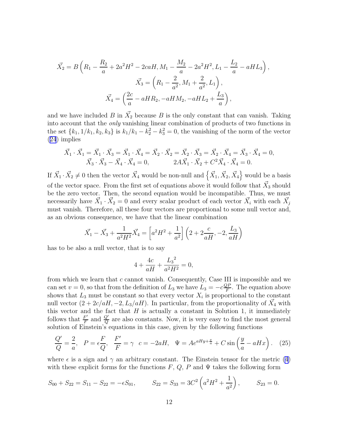<span id="page-11-0"></span>
$$
\vec{X_2} = B\left(R_1 - \frac{R_2}{a} + 2a^2H^2 - 2caH, M_1 - \frac{M_2}{a} - 2a^2H^2, L_1 - \frac{L_2}{a} - aHL_3\right),
$$
  

$$
\vec{X_3} = \left(R_1 - \frac{2}{a^2}, M_1 + \frac{2}{a^2}, L_1\right),
$$
  

$$
\vec{X_4} = \left(\frac{2c}{a} - aHR_2, -aHM_2, -aHL_2 + \frac{L_3}{a}\right),
$$

and we have included B in  $\vec{X_2}$  because B is the only constant that can vanish. Taking into account that the only vanishing linear combination of products of two functions in the set  ${k_1, 1/k_1, k_2, k_3}$  is  $k_1/k_1 - k_2^2 - k_3^2 = 0$ , the vanishing of the norm of the vector ([24](#page-10-0)) implies

$$
\vec{X}_1 \cdot \vec{X}_1 = \vec{X}_1 \cdot \vec{X}_3 = \vec{X}_1 \cdot \vec{X}_4 = \vec{X}_2 \cdot \vec{X}_2 = \vec{X}_2 \cdot \vec{X}_3 = \vec{X}_2 \cdot \vec{X}_4 = \vec{X}_3 \cdot \vec{X}_4 = 0, \n\vec{X}_3 \cdot \vec{X}_3 - \vec{X}_4 \cdot \vec{X}_4 = 0, \qquad 2A\vec{X}_1 \cdot \vec{X}_2 + C^2\vec{X}_4 \cdot \vec{X}_4 = 0.
$$

If  $\vec{X}_1 \cdot \vec{X}_2 \neq 0$  then the vector  $\vec{X}_4$  would be non-null and  $\left\{ \vec{X}_1, \vec{X}_2, \vec{X}_4 \right\}$  would be a basis of the vector space. From the first set of equations above it would follow that  $\vec{X}_3$  should be the zero vector. Then, the second equation would be incompatible. Thus, we must necessarily have  $\vec{X}_1 \cdot \vec{X}_2 = 0$  and every scalar product of each vector  $\vec{X}_i$  with each  $\vec{X}_j$ must vanish. Therefore, all these four vectors are proportional to some null vector and, as an obvious consequence, we have that the linear combination

$$
\vec{X}_1 - \vec{X}_3 + \frac{1}{a^2 H^2} \vec{X}_4 = \left[ a^2 H^2 + \frac{1}{a^2} \right] \left( 2 + 2 \frac{c}{a H}, -2, \frac{L_3}{a H} \right)
$$

has to be also a null vector, that is to say

$$
4 + \frac{4c}{aH} + \frac{{L_3}^2}{a^2H^2} = 0,
$$

from which we learn that  $c$  cannot vanish. Consequently, Case III is impossible and we can set  $v = 0$ , so that from the definition of  $L_3$  we have  $L_3 = -c \frac{QF}{F}$  $\frac{QP}{F}$ . The equation above shows that  $L_3$  must be constant so that every vector  $X_i$  is proportional to the constant null vector  $(2 + 2c/aH, -2, L_3/aH)$ . In particular, from the proportionality of  $\vec{X}_4$  with this vector and the fact that  $H$  is actually a constant in Solution 1, it immediately follows that  $\frac{F'}{F}$  $\frac{F'}{F}$  and  $\frac{Q'}{Q}$  are also constants. Now, it is very easy to find the most general solution of Einstein's equations in this case, given by the following functions

$$
\frac{Q'}{Q} = \frac{2}{a}, \quad P = \epsilon \frac{F}{Q}, \quad \frac{F'}{F} = \gamma \quad c = -2aH, \quad \Psi = Ae^{aHy + \frac{x}{a}} + C\sin\left(\frac{y}{a} - aHx\right). \tag{25}
$$

where  $\epsilon$  is a sign and  $\gamma$  an arbitrary constant. The Einstein tensor for the metric [\(4\)](#page-3-0) with these explicit forms for the functions  $F, Q, P$  and  $\Psi$  takes the following form

$$
S_{00} + S_{22} = S_{11} - S_{22} = -\epsilon S_{01},
$$
  $S_{22} = S_{33} = 3C^2 \left( a^2 H^2 + \frac{1}{a^2} \right),$   $S_{23} = 0.$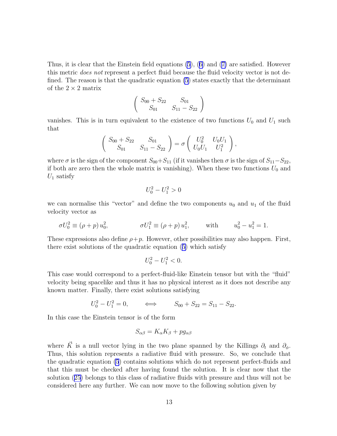Thus, it is clear that the Einstein field equations [\(5](#page-4-0)), [\(6\)](#page-4-0) and([7\)](#page-4-0) are satisfied. However this metric does not represent a perfect fluid because the fluid velocity vector is not defined. The reason is that the quadratic equation [\(5](#page-4-0)) states exactly that the determinant of the  $2 \times 2$  matrix

$$
\left(\begin{array}{cc} S_{00} + S_{22} & S_{01} \\ S_{01} & S_{11} - S_{22} \end{array}\right)
$$

vanishes. This is in turn equivalent to the existence of two functions  $U_0$  and  $U_1$  such that

$$
\begin{pmatrix} S_{00} + S_{22} & S_{01} \ S_{01} & S_{11} - S_{22} \end{pmatrix} = \sigma \begin{pmatrix} U_0^2 & U_0 U_1 \ U_0 U_1 & U_1^2 \end{pmatrix},
$$

where  $\sigma$  is the sign of the component  $S_{00}+S_{11}$  (if it vanishes then  $\sigma$  is the sign of  $S_{11}-S_{22}$ , if both are zero then the whole matrix is vanishing). When these two functions  $U_0$  and  $U_1$  satisfy

$$
U_0^2 - U_1^2 > 0
$$

we can normalise this "vector" and define the two components  $u_0$  and  $u_1$  of the fluid velocity vector as

$$
\sigma U_0^2 \equiv (\rho + p) u_0^2, \qquad \qquad \sigma U_1^2 \equiv (\rho + p) u_1^2, \qquad \text{with} \qquad u_0^2 - u_1^2 = 1.
$$

These expressions also define  $\rho+p$ . However, other possibilities may also happen. First, there exist solutions of the quadratic equation([5\)](#page-4-0) which satisfy

$$
U_0^2 - U_1^2 < 0.
$$

This case would correspond to a perfect-fluid-like Einstein tensor but with the "fluid" velocity being spacelike and thus it has no physical interest as it does not describe any known matter. Finally, there exist solutions satisfying

$$
U_0^2 - U_1^2 = 0, \qquad \Longleftrightarrow \qquad S_{00} + S_{22} = S_{11} - S_{22}.
$$

In this case the Einstein tensor is of the form

$$
S_{\alpha\beta} = K_{\alpha}K_{\beta} + pg_{\alpha\beta}
$$

where  $\vec{K}$  is a null vector lying in the two plane spanned by the Killings  $\partial_t$  and  $\partial_{\phi}$ . Thus, this solution represents a radiative fluid with pressure. So, we conclude that the quadratic equation [\(5](#page-4-0)) contains solutions which do not represent perfect-fluids and that this must be checked after having found the solution. It is clear now that the solution([25\)](#page-11-0) belongs to this class of radiative fluids with pressure and thus will not be considered here any further. We can now move to the following solution given by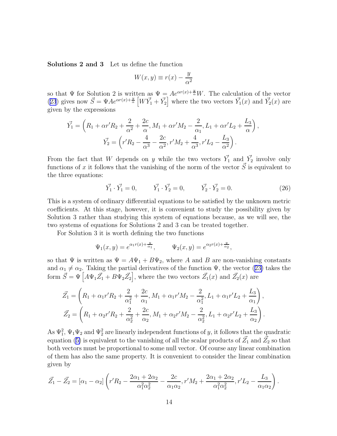<span id="page-13-0"></span>Solutions 2 and 3 Let us define the function

$$
W(x, y) \equiv r(x) - \frac{y}{\alpha^2}
$$

so that  $\Psi$  for Solution 2 is written as  $\Psi = Ae^{\alpha r(x)+\frac{y}{\alpha}}W$ . The calculation of the vector ([23](#page-9-0)) gives now  $\vec{S} = \Psi A e^{\alpha r(x) + \frac{y}{\alpha}} \left[ W \vec{Y}_1 + \vec{Y}_2 \right]$  where the two vectors  $\vec{Y}_1(x)$  and  $\vec{Y}_2(x)$  are given by the expressions

$$
\vec{Y}_1 = \left(R_1 + \alpha r' R_2 + \frac{2}{\alpha^2} + \frac{2c}{\alpha}, M_1 + \alpha r' M_2 - \frac{2}{\alpha_1}, L_1 + \alpha r' L_2 + \frac{L_3}{\alpha}\right),
$$

$$
\vec{Y}_2 = \left(r' R_2 - \frac{4}{\alpha^3} - \frac{2c}{\alpha^2}, r' M_2 + \frac{4}{\alpha^3}, r' L_2 - \frac{L_3}{\alpha^2}\right).
$$

From the fact that W depends on y while the two vectors  $\vec{Y}_1$  and  $\vec{Y}_2$  involve only functions of x it follows that the vanishing of the norm of the vector  $\vec{S}$  is equivalent to the three equations:

$$
\vec{Y}_1 \cdot \vec{Y}_1 = 0, \qquad \vec{Y}_1 \cdot \vec{Y}_2 = 0, \qquad \vec{Y}_2 \cdot \vec{Y}_2 = 0. \tag{26}
$$

This is a system of ordinary differential equations to be satisfied by the unknown metric coefficients. At this stage, however, it is convenient to study the possibility given by Solution 3 rather than studying this system of equations because, as we will see, the two systems of equations for Solutions 2 and 3 can be treated together.

For Solution 3 it is worth defining the two functions

$$
\Psi_1(x, y) = e^{\alpha_1 r(x) + \frac{y}{\alpha_1}}, \qquad \Psi_2(x, y) = e^{\alpha_2 r(x) + \frac{y}{\alpha_2}},
$$

so that  $\Psi$  is written as  $\Psi = A\Psi_1 + B\Psi_2$ , where A and B are non-vanishing constants and $\alpha_1 \neq \alpha_2$ . Taking the partial derivatives of the function  $\Psi$ , the vector ([23\)](#page-9-0) takes the form  $\vec{S} = \Psi \left[ A \Psi_1 \vec{Z_1} + B \Psi_2 \vec{Z_2} \right]$ , where the two vectors  $\vec{Z_1}(x)$  and  $\vec{Z_2}(x)$  are

$$
\vec{Z}_1 = \left(R_1 + \alpha_1 r' R_2 + \frac{2}{\alpha_1^2} + \frac{2c}{\alpha_1}, M_1 + \alpha_1 r' M_2 - \frac{2}{\alpha_1^2}, L_1 + \alpha_1 r' L_2 + \frac{L_3}{\alpha_1}\right),
$$
  

$$
\vec{Z}_2 = \left(R_1 + \alpha_2 r' R_2 + \frac{2}{\alpha_2^2} + \frac{2c}{\alpha_2}, M_1 + \alpha_2 r' M_2 - \frac{2}{\alpha_2^2}, L_1 + \alpha_2 r' L_2 + \frac{L_3}{\alpha_2}\right).
$$

As  $\Psi_1^2$ ,  $\Psi_1\Psi_2$  and  $\Psi_2^2$  are linearly independent functions of y, it follows that the quadratic equation([5\)](#page-4-0) is equivalent to the vanishing of all the scalar products of  $\vec{Z_1}$  and  $\vec{Z_2}$  so that both vectors must be proportional to some null vector. Of course any linear combination of them has also the same property. It is convenient to consider the linear combination given by

$$
\vec{Z_1} - \vec{Z_2} = [\alpha_1 - \alpha_2] \left( r' R_2 - \frac{2\alpha_1 + 2\alpha_2}{\alpha_1^2 \alpha_2^2} - \frac{2c}{\alpha_1 \alpha_2}, r' M_2 + \frac{2\alpha_1 + 2\alpha_2}{\alpha_1^2 \alpha_2^2}, r' L_2 - \frac{L_3}{\alpha_1 \alpha_2} \right).
$$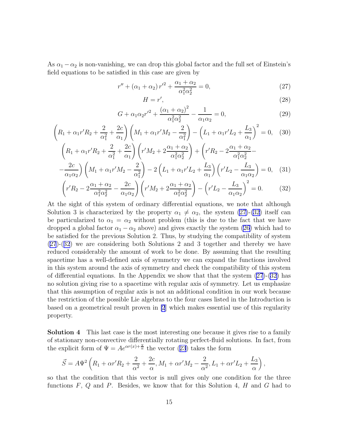<span id="page-14-0"></span>As  $\alpha_1 - \alpha_2$  is non-vanishing, we can drop this global factor and the full set of Einstein's field equations to be satisfied in this case are given by

$$
r'' + (\alpha_1 + \alpha_2) r'^2 + \frac{\alpha_1 + \alpha_2}{\alpha_1^2 \alpha_2^2} = 0,
$$
\n(27)

$$
H = r',\tag{28}
$$

$$
G + \alpha_1 \alpha_2 {r'}^2 + \frac{(\alpha_1 + \alpha_2)^2}{\alpha_1^2 \alpha_2^2} - \frac{1}{\alpha_1 \alpha_2} = 0,
$$
 (29)

$$
\left(R_{1} + \alpha_{1}r'R_{2} + \frac{2}{\alpha_{1}^{2}} + \frac{2c}{\alpha_{1}}\right)\left(M_{1} + \alpha_{1}r'M_{2} - \frac{2}{\alpha_{1}^{2}}\right) - \left(L_{1} + \alpha_{1}r'L_{2} + \frac{L_{3}}{\alpha_{1}}\right)^{2} = 0, \quad (30)
$$
\n
$$
\left(R_{1} + \alpha_{1}r'R_{2} + \frac{2}{\alpha_{1}^{2}} + \frac{2c}{\alpha_{1}}\right)\left(r'M_{2} + 2\frac{\alpha_{1} + \alpha_{2}}{\alpha_{1}^{2}\alpha_{2}^{2}}\right) + \left(r'R_{2} - 2\frac{\alpha_{1} + \alpha_{2}}{\alpha_{1}^{2}\alpha_{2}^{2}} - \frac{2c}{\alpha_{1}\alpha_{2}}\right)\left(M_{1} + \alpha_{1}r'M_{2} - \frac{2}{\alpha_{1}^{2}}\right) - 2\left(L_{1} + \alpha_{1}r'L_{2} + \frac{L_{3}}{\alpha_{1}}\right)\left(r'L_{2} - \frac{L_{3}}{\alpha_{1}\alpha_{2}}\right) = 0, \quad (31)
$$

$$
\left(r'R_2 - 2\frac{\alpha_1 + \alpha_2}{\alpha_1^2 \alpha_2^2} - \frac{2c}{\alpha_1 \alpha_2}\right) \left(r'M_2 + 2\frac{\alpha_1 + \alpha_2}{\alpha_1^2 \alpha_2^2}\right) - \left(r'L_2 - \frac{L_3}{\alpha_1 \alpha_2}\right)^2 = 0. \tag{32}
$$

At the sight of this system of ordinary differential equations, we note that although Solution 3 is characterized by the property  $\alpha_1 \neq \alpha_2$ , the system (27)-(32) itself can be particularized to  $\alpha_1 = \alpha_2$  without problem (this is due to the fact that we have dropped a global factor  $\alpha_1 - \alpha_2$  above) and gives exactly the system [\(26\)](#page-13-0) which had to be satisfied for the previous Solution 2. Thus, by studying the compatibility of system (27)-(32) we are considering both Solutions 2 and 3 together and thereby we have reduced considerably the amount of work to be done. By assuming that the resulting spacetime has a well-defined axis of symmetry we can expand the functions involved in this system around the axis of symmetry and check the compatibility of this system of differential equations. In the Appendix we show that that the system  $(27)-(32)$  has no solution giving rise to a spacetime with regular axis of symmetry. Let us emphasize that this assumption of regular axis is not an additional condition in our work because the restriction of the possible Lie algebras to the four cases listed in the Introduction is based on a geometrical result proven in [\[2](#page-23-0)] which makes essential use of this regularity property.

Solution 4 This last case is the most interesting one because it gives rise to a family of stationary non-convective differentially rotating perfect-fluid solutions. In fact, from theexplicit form of  $\Psi = Ae^{\alpha r(x)+\frac{y}{\alpha}}$  the vector ([23](#page-9-0)) takes the form

$$
\vec{S} = A\Psi^2 \left( R_1 + \alpha r' R_2 + \frac{2}{\alpha^2} + \frac{2c}{\alpha}, M_1 + \alpha r' M_2 - \frac{2}{\alpha^2}, L_1 + \alpha r' L_2 + \frac{L_3}{\alpha} \right),
$$

so that the condition that this vector is null gives only one condition for the three functions  $F, Q$  and  $P$ . Besides, we know that for this Solution 4,  $H$  and  $G$  had to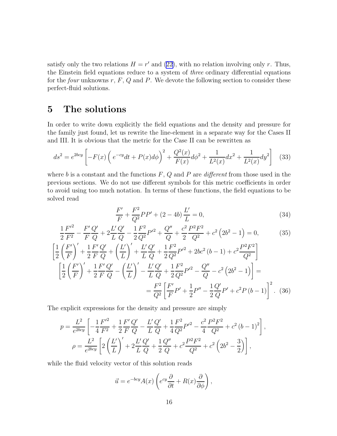<span id="page-15-0"></span>satisfy only the two relations  $H = r'$  and [\(22\)](#page-9-0), with no relation involving only r. Thus, the Einstein field equations reduce to a system of three ordinary differential equations for the *four* unknowns  $r, F, Q$  and  $P$ . We devote the following section to consider these perfect-fluid solutions.

#### 5 The solutions

In order to write down explicitly the field equations and the density and pressure for the family just found, let us rewrite the line-element in a separate way for the Cases II and III. It is obvious that the metric for the Case II can be rewritten as

$$
ds^{2} = e^{2bcy} \left[ -F(x) \left( e^{-cy} dt + P(x) d\phi \right)^{2} + \frac{Q^{2}(x)}{F(x)} d\phi^{2} + \frac{1}{L^{2}(x)} dx^{2} + \frac{1}{L^{2}(x)} dy^{2} \right] \tag{33}
$$

where b is a constant and the functions  $F, Q$  and P are different from those used in the previous sections. We do not use different symbols for this metric coefficients in order to avoid using too much notation. In terms of these functions, the field equations to be solved read

$$
\frac{F'}{F} + \frac{F^2}{Q^2}PP' + (2 - 4b)\frac{L'}{L} = 0,
$$
\n(34)

$$
\frac{1}{2}\frac{F'^2}{F^2} - \frac{F'Q'}{FQ} + 2\frac{L'Q'}{LQ} - \frac{1}{2}\frac{F^2}{Q^2}P'^2 + \frac{Q''}{Q} + \frac{c^2}{2}\frac{P^2F^2}{Q^2} + c^2\left(2b^2 - 1\right) = 0,\tag{35}
$$

$$
\left[\frac{1}{2}\left(\frac{F'}{F}\right)'+\frac{1}{2}\frac{F'}{F}\frac{Q'}{Q}+\left(\frac{L'}{L}\right)'+\frac{L'}{L}\frac{Q'}{Q}+\frac{1}{2}\frac{F^2}{Q^2}P'^2+2bc^2(b-1)+c^2\frac{P^2F^2}{Q^2}\right]
$$
\n
$$
\left[\frac{1}{2}\left(\frac{F'}{F}\right)'+\frac{1}{2}\frac{F'}{F}\frac{Q'}{Q}-\left(\frac{L'}{L}\right)'-\frac{L'}{L}\frac{Q'}{Q}+\frac{1}{2}\frac{F^2}{Q^2}P'^2-\frac{Q''}{Q}-c^2\left(2b^2-1\right)\right]=
$$
\n
$$
=\frac{F^2}{Q^2}\left[\frac{F'}{F}P'+\frac{1}{2}P''-\frac{1}{2}\frac{Q'}{Q}P'+c^2P(b-1)\right]^2.\tag{36}
$$

The explicit expressions for the density and pressure are simply

$$
p = \frac{L^2}{e^{2bcy}} \left[ -\frac{1}{4} \frac{F'^2}{F^2} + \frac{1}{2} \frac{F'}{F} \frac{Q'}{Q} - \frac{L'}{L} \frac{Q'}{Q} + \frac{1}{4} \frac{F^2}{Q^2} P'^2 - \frac{c^2}{4} \frac{P^2 F^2}{Q^2} + c^2 (b-1)^2 \right],
$$
  

$$
\rho = \frac{L^2}{e^{2bcy}} \left[ 2\left(\frac{L'}{L}\right)' + 2\frac{L'}{L} \frac{Q'}{Q} + \frac{1}{2} \frac{Q''}{Q} + c^2 \frac{P^2 F^2}{Q^2} + c^2 \left(2b^2 - \frac{3}{2}\right) \right],
$$

while the fluid velocity vector of this solution reads

$$
\vec{u} = e^{-bcy} A(x) \left( e^{cy} \frac{\partial}{\partial t} + R(x) \frac{\partial}{\partial \phi} \right),
$$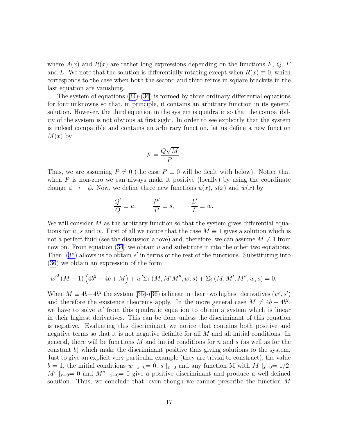where  $A(x)$  and  $R(x)$  are rather long expressions depending on the functions F, Q, P and L. We note that the solution is differentially rotating except when  $R(x) \equiv 0$ , which corresponds to the case when both the second and third terms in square brackets in the last equation are vanishing.

The system of equations  $(34)-(36)$  $(34)-(36)$  is formed by three ordinary differential equations for four unknowns so that, in principle, it contains an arbitrary function in its general solution. However, the third equation in the system is quadratic so that the compatibility of the system is not obvious at first sight. In order to see explicitly that the system is indeed compatible and contains an arbitrary function, let us define a new function  $M(x)$  by

$$
F \equiv \frac{Q\sqrt{M}}{P}.
$$

Thus, we are assuming  $P \neq 0$  (the case  $P \equiv 0$  will be dealt with below). Notice that when  $P$  is non-zero we can always make it positive (locally) by using the coordinate change  $\phi \to -\phi$ . Now, we define three new functions  $u(x)$ ,  $s(x)$  and  $w(x)$  by

$$
\frac{Q'}{Q}\equiv u,\qquad \frac{P'}{P}\equiv s,\qquad \frac{L'}{L}\equiv w.
$$

We will consider  $M$  as the arbitrary function so that the system gives differential equations for u, s and w. First of all we notice that the case  $M \equiv 1$  gives a solution which is not a perfect fluid (see the discussion above) and, therefore, we can assume  $M \neq 1$  from nowon. From equation  $(34)$  $(34)$  $(34)$  we obtain u and substitute it into the other two equations. Then,  $(35)$  allows us to obtain  $s'$  in terms of the rest of the functions. Substituting into ([36](#page-15-0)) we obtain an expression of the form

$$
w'^{2} (M - 1) (4b^{2} - 4b + M) + w' \Sigma_{1} (M, M'M'', w, s) + \Sigma_{2} (M, M', M'', w, s) = 0.
$$

When $M \equiv 4b - 4b^2$  the system ([35\)](#page-15-0)-([36\)](#page-15-0) is linear in their two highest derivatives  $(w', s')$ and therefore the existence theorems apply. In the more general case  $M \neq 4b - 4b^2$ , we have to solve  $w'$  from this quadratic equation to obtain a system which is linear in their highest derivatives. This can be done unless the discriminant of this equation is negative. Evaluating this discriminant we notice that contains both positive and negative terms so that it is not negative definite for all M and all initial conditions. In general, there will be functions  $M$  and initial conditions for  $n$  and  $s$  (as well as for the constant b) which make the discriminant positive thus giving solutions to the system. Just to give an explicit very particular example (they are trivial to construct), the value  $b = 1$ , the initial conditions w  $x = 0$ , s  $x = 0$  and any function M with M  $x = 1/2$ , M'  $|x=0$  and M''  $|x=0$  give a positive discriminant and produce a well-defined solution. Thus, we conclude that, even though we cannot prescribe the function  $M$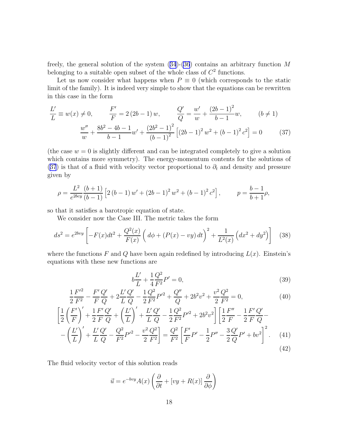<span id="page-17-0"></span>freely,the general solution of the system  $(34)-(36)$  $(34)-(36)$  $(34)-(36)$  $(34)-(36)$  $(34)-(36)$  contains an arbitrary function M belonging to a suitable open subset of the whole class of  $C<sup>2</sup>$  functions.

Let us now consider what happens when  $P \equiv 0$  (which corresponds to the static limit of the family). It is indeed very simple to show that the equations can be rewritten in this case in the form

$$
\frac{L'}{L} \equiv w(x) \neq 0, \qquad \frac{F'}{F} = 2(2b - 1) w, \qquad \frac{Q'}{Q} = \frac{w'}{w} + \frac{(2b - 1)^2}{b - 1} w, \qquad (b \neq 1)
$$

$$
\frac{w''}{w} + \frac{8b^2 - 4b - 1}{b - 1} w' + \frac{(2b^2 - 1)^2}{(b - 1)^2} \left[ (2b - 1)^2 w^2 + (b - 1)^2 c^2 \right] = 0 \tag{37}
$$

(the case  $w = 0$  is slightly different and can be integrated completely to give a solution which contains more symmetry). The energy-momentum contents for the solutions of (37) is that of a fluid with velocity vector proportional to  $\partial_t$  and density and pressure given by

$$
\rho = \frac{L^2}{e^{2bcy}} \frac{(b+1)}{(b-1)} \left[ 2 (b-1) w' + (2b-1)^2 w^2 + (b-1)^2 c^2 \right], \qquad p = \frac{b-1}{b+1} \rho,
$$

so that it satisfies a barotropic equation of state.

We consider now the Case III. The metric takes the form

$$
ds^{2} = e^{2by} \left[ -F(x)dt^{2} + \frac{Q^{2}(x)}{F(x)} \left( d\phi + (P(x) - vy) dt \right)^{2} + \frac{1}{L^{2}(x)} \left( dx^{2} + dy^{2} \right) \right]
$$
(38)

where the functions F and Q have been again redefined by introducing  $L(x)$ . Einstein's equations with these new functions are

$$
b\frac{L'}{L} + \frac{1}{4}\frac{Q^2}{F^2}P' = 0,\t\t(39)
$$

$$
\frac{1}{2}\frac{F'^2}{F^2} - \frac{F'Q'}{FQ} + 2\frac{L'Q'}{LQ} - \frac{1}{2}\frac{Q^2}{F^2}P'^2 + \frac{Q''}{Q} + 2b^2v^2 + \frac{v^2Q^2}{2F^2} = 0,
$$
\n(40)

$$
\left[\frac{1}{2}\left(\frac{F'}{F}\right)'+\frac{1}{2}\frac{F'}{F}\frac{Q'}{Q}+\left(\frac{L'}{L}\right)'+\frac{L'}{L}\frac{Q'}{Q}-\frac{1}{2}\frac{Q^2}{F^2}P'^2+2b^2v^2\right]\left[\frac{1}{2}\frac{F''}{F}-\frac{1}{2}\frac{F'}{F}\frac{Q'}{Q}-\frac{L'}{L'}\frac{Q'}{Q'}\right] -\left(\frac{L'}{L}\right)' +\frac{L'}{L}\frac{Q'}{Q}-\frac{Q^2}{F^2}P'^2-\frac{v^2}{2}\frac{Q^2}{F^2}\right] = \frac{Q^2}{F^2}\left[\frac{F'}{F}P'-\frac{1}{2}P''-\frac{3}{2}\frac{Q'}{Q}P'+bv^2\right]^2.
$$
\n(41)

The fluid velocity vector of this solution reads

$$
\vec{u} = e^{-bvy} A(x) \left( \frac{\partial}{\partial t} + [vy + R(x)] \frac{\partial}{\partial \phi} \right)
$$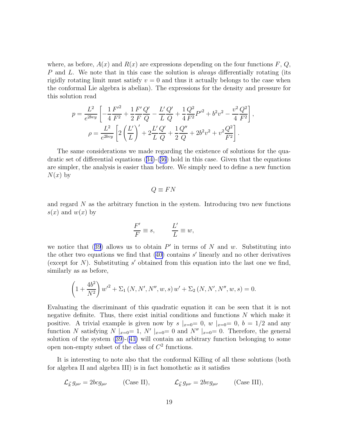where, as before,  $A(x)$  and  $R(x)$  are expressions depending on the four functions  $F, Q$ , P and L. We note that in this case the solution is *always* differentially rotating (its rigidly rotating limit must satisfy  $v = 0$  and thus it actually belongs to the case when the conformal Lie algebra is abelian). The expressions for the density and pressure for this solution read

$$
p = \frac{L^2}{e^{2bvy}} \left[ -\frac{1}{4} \frac{F'^2}{F^2} + \frac{1}{2} \frac{F'}{F} \frac{Q'}{Q} - \frac{L'}{L} \frac{Q'}{Q} + \frac{1}{4} \frac{Q^2}{F^2} P'^2 + b^2 v^2 - \frac{v^2}{4} \frac{Q^2}{F^2} \right],
$$
  

$$
\rho = \frac{L^2}{e^{2bvy}} \left[ 2\left(\frac{L'}{L}\right)' + 2\frac{L'}{L} \frac{Q'}{Q} + \frac{1}{2} \frac{Q''}{Q} + 2b^2 v^2 + v^2 \frac{Q^2}{F^2} \right].
$$

The same considerations we made regarding the existence of solutions for the quadratic set of differential equations([34\)](#page-15-0)-([36](#page-15-0)) hold in this case. Given that the equations are simpler, the analysis is easier than before. We simply need to define a new function  $N(x)$  by

$$
Q \equiv FN
$$

and regard  $N$  as the arbitrary function in the system. Introducing two new functions  $s(x)$  and  $w(x)$  by

$$
\frac{F'}{F} \equiv s, \qquad \frac{L'}{L} \equiv w,
$$

wenotice that ([39](#page-17-0)) allows us to obtain  $P'$  in terms of N and w. Substituting into the other two equations we find that  $(40)$  contains s' linearly and no other derivatives (except for  $N$ ). Substituting  $s'$  obtained from this equation into the last one we find, similarly as as before,

$$
\left(1+\frac{4b^2}{N^2}\right)w'^2+\Sigma_1(N,N',N'',w,s) w'+\Sigma_2(N,N',N'',w,s)=0.
$$

Evaluating the discriminant of this quadratic equation it can be seen that it is not negative definite. Thus, there exist initial conditions and functions N which make it positive. A trivial example is given now by  $s\vert_{x=0}=0$ ,  $w\vert_{x=0}=0$ ,  $b=1/2$  and any function N satisfying N  $|_{x=0} = 1$ , N'  $|_{x=0} = 0$  and N''  $|_{x=0} = 0$ . Therefore, the general solution of the system [\(39\)](#page-17-0)-([41\)](#page-17-0) will contain an arbitrary function belonging to some open non-empty subset of the class of  $C<sup>2</sup>$  functions.

It is interesting to note also that the conformal Killing of all these solutions (both for algebra II and algebra III) is in fact homothetic as it satisfies

$$
\mathcal{L}_{\vec{k}} g_{\mu\nu} = 2bc g_{\mu\nu} \qquad \text{(Case II)}, \qquad \mathcal{L}_{\vec{k}} g_{\mu\nu} = 2bv g_{\mu\nu} \qquad \text{(Case III)},
$$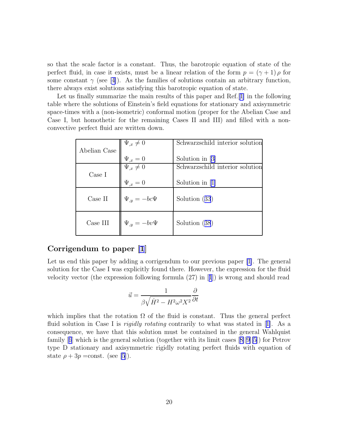so that the scale factor is a constant. Thus, the barotropic equation of state of the perfect fluid, in case it exists, must be a linear relation of the form  $p = (\gamma + 1) \rho$  for some constant  $\gamma$  (see [\[4\]](#page-23-0)). As the families of solutions contain an arbitrary function, there always exist solutions satisfying this barotropic equation of state.

Let us finally summarize the main results of this paper and Ref.[[1\]](#page-23-0) in the following table where the solutions of Einstein's field equations for stationary and axisymmetric space-times with a (non-isometric) conformal motion (proper for the Abelian Case and Case I, but homothetic for the remaining Cases II and III) and filled with a nonconvective perfect fluid are written down.

|                 | $\Psi_{,x}\neq 0$   | Schwarzschild interior solution |
|-----------------|---------------------|---------------------------------|
| Abelian Case    |                     |                                 |
|                 | $\Psi_{,x}=0$       | Solution in [3]                 |
|                 | $\Psi_{,x}\neq 0$   | Schwarzschild interior solution |
| Case I          |                     |                                 |
|                 | $\Psi_{,x}=0$       | Solution in $[1]$               |
|                 |                     |                                 |
| $\rm Case~II$   | $\Psi_{,y}=-bc\Psi$ | Solution $(33)$                 |
|                 |                     |                                 |
|                 |                     |                                 |
| $\rm Case\ III$ | $\Psi_{,y}=-bv\Psi$ | Solution (38)                   |
|                 |                     |                                 |

#### Corrigendum to paper [\[1](#page-23-0)]

Let us end this paper by adding a corrigendum to our previous paper [\[1](#page-23-0)]. The general solution for the Case I was explicitly found there. However, the expression for the fluid velocity vector (the expression following formula (27) in[[1](#page-23-0)]) is wrong and should read

$$
\vec{u} = \frac{1}{\beta\sqrt{\dot{H}^2 - H^2\omega^2X^2}}\frac{\partial}{\partial t}
$$

which implies that the rotation  $\Omega$  of the fluid is constant. Thus the general perfect fluidsolution in Case I is *rigidly rotating* contrarily to what was stated in [[1\]](#page-23-0). As a consequence, we have that this solution must be contained in the general Wahlquist family[[6](#page-23-0)] which is the general solution (together with its limit cases[[8\]\[9\]\[5](#page-23-0)]) for Petrov type D stationary and axisymmetric rigidly rotating perfect fluids with equation of state  $\rho + 3p = \text{const.}$  (see [\[5](#page-23-0)]).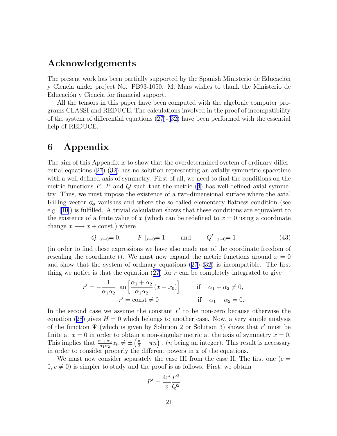### <span id="page-20-0"></span>Acknowledgements

The present work has been partially supported by the Spanish Ministerio de Educación y Ciencia under project No. PB93-1050. M. Mars wishes to thank the Ministerio de Educación y Ciencia for financial support.

All the tensors in this paper have been computed with the algebraic computer programs CLASSI and REDUCE. The calculations involved in the proof of incompatibility of the system of differential equations  $(27)-(32)$  $(27)-(32)$  have been performed with the essential help of REDUCE.

#### 6 Appendix

The aim of this Appendix is to show that the overdetermined system of ordinary differential equations [\(27\)](#page-14-0)-[\(32\)](#page-14-0) has no solution representing an axially symmetric spacetime with a well-defined axis of symmetry. First of all, we need to find the conditions on the metricfunctions  $F, P$  and  $Q$  such that the metric ([4](#page-3-0)) has well-defined axial symmetry. Thus, we must impose the existence of a two-dimensional surface where the axial Killing vector  $\partial_{\phi}$  vanishes and where the so-called elementary flatness condition (see e.g. [\[10\]](#page-23-0)) is fulfilled. A trivial calculation shows that these conditions are equivalent to the existence of a finite value of x (which can be redefined to  $x = 0$  using a coordinate change  $x \longrightarrow x + \text{const.}$ ) where

$$
Q \mid_{x=0} = 0, \qquad F \mid_{x=0} = 1 \qquad \text{and} \qquad Q' \mid_{x=0} = 1 \tag{43}
$$

(in order to find these expressions we have also made use of the coordinate freedom of rescaling the coordinate t). We must now expand the metric functions around  $x = 0$ andshow that the system of ordinary equations  $(27)-(32)$  $(27)-(32)$  $(27)-(32)$  $(27)-(32)$  $(27)-(32)$  is incompatible. The first thing we notice is that the equation  $(27)$  for r can be completely integrated to give

$$
r' = -\frac{1}{\alpha_1 \alpha_2} \tan \left[ \frac{\alpha_1 + \alpha_2}{\alpha_1 \alpha_2} (x - x_0) \right] \quad \text{if} \quad \alpha_1 + \alpha_2 \neq 0,
$$
  

$$
r' = \text{const} \neq 0 \quad \text{if} \quad \alpha_1 + \alpha_2 = 0.
$$

In the second case we assume the constant  $r'$  to be non-zero because otherwise the equation([28](#page-14-0)) gives  $H = 0$  which belongs to another case. Now, a very simple analysis of the function  $\Psi$  (which is given by Solution 2 or Solution 3) shows that r' must be finite at  $x = 0$  in order to obtain a non-singular metric at the axis of symmetry  $x = 0$ . This implies that  $\frac{\alpha_1+\alpha_2}{\alpha_1\alpha_2}x_0 \neq \pm \left(\frac{\pi}{2}+\pi n\right)$ , (*n* being an integer). This result is necessary in order to consider properly the different powers in  $x$  of the equations.

We must now consider separately the case III from the case II. The first one  $(c =$  $0, v \neq 0$ ) is simpler to study and the proof is as follows. First, we obtain

$$
P' = \frac{4r'}{v} \frac{F^2}{Q^2}
$$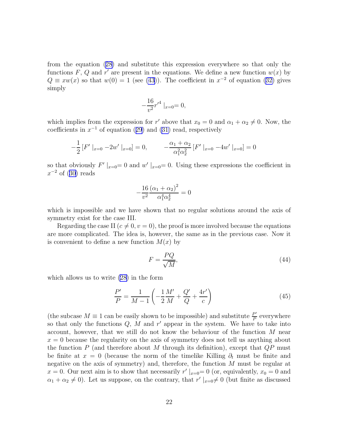<span id="page-21-0"></span>from the equation([28\)](#page-14-0) and substitute this expression everywhere so that only the functions F, Q and r' are present in the equations. We define a new function  $w(x)$  by  $Q \equiv xw(x)$  $Q \equiv xw(x)$  $Q \equiv xw(x)$  so that  $w(0) = 1$  (see [\(43](#page-20-0))). The coefficient in  $x^{-2}$  of equation ([32\)](#page-14-0) gives simply

$$
-\frac{16}{v^2}r'^4\mid_{x=0}=0,
$$

which implies from the expression for r' above that  $x_0 = 0$  and  $\alpha_1 + \alpha_2 \neq 0$ . Now, the coefficientsin  $x^{-1}$  of equation ([29](#page-14-0)) and [\(31\)](#page-14-0) read, respectively

$$
-\frac{1}{2}[F' \mid_{x=0} -2w' \mid_{x=0}] = 0, \qquad -\frac{\alpha_1 + \alpha_2}{\alpha_1^2 \alpha_2^2}[F' \mid_{x=0} -4w' \mid_{x=0}] = 0
$$

so that obviously  $F'|_{x=0}=0$  and  $w'|_{x=0}=0$ . Using these expressions the coefficient in  $x^{-2}$ of ([30\)](#page-14-0) reads

$$
-\frac{16}{v^2} \frac{(\alpha_1 + \alpha_2)^2}{\alpha_1^4 \alpha_2^4} = 0
$$

which is impossible and we have shown that no regular solutions around the axis of symmetry exist for the case III.

Regarding the case II ( $c \neq 0, v = 0$ ), the proof is more involved because the equations are more complicated. The idea is, however, the same as in the previous case. Now it is convenient to define a new function  $M(x)$  by

$$
F = \frac{PQ}{\sqrt{M}},\tag{44}
$$

which allows us to write [\(28](#page-14-0)) in the form

$$
\frac{P'}{P} = \frac{1}{M-1} \left( -\frac{1}{2} \frac{M'}{M} + \frac{Q'}{Q} + \frac{4r'}{c} \right)
$$
(45)

(the subcase  $M \equiv 1$  can be easily shown to be impossible) and substitute  $\frac{P'}{P}$  $\frac{P'}{P}$  everywhere so that only the functions  $Q$ ,  $\overline{M}$  and  $r'$  appear in the system. We have to take into account, however, that we still do not know the behaviour of the function M near  $x = 0$  because the regularity on the axis of symmetry does not tell us anything about the function  $P$  (and therefore about  $M$  through its definition), except that  $QP$  must be finite at  $x = 0$  (because the norm of the timelike Killing  $\partial_t$  must be finite and negative on the axis of symmetry) and, therefore, the function  $M$  must be regular at  $x = 0$ . Our next aim is to show that necessarily  $r' |_{x=0} = 0$  (or, equivalently,  $x_0 = 0$  and  $\alpha_1 + \alpha_2 \neq 0$ ). Let us suppose, on the contrary, that  $r' \mid_{x=0} \neq 0$  (but finite as discussed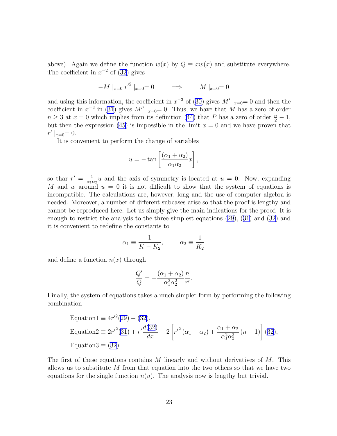above). Again we define the function  $w(x)$  by  $Q \equiv xw(x)$  and substitute everywhere. The coefficient in  $x^{-2}$  of [\(32](#page-14-0)) gives

$$
-M |_{x=0} r'^2 |_{x=0} = 0 \qquad \Longrightarrow \qquad M |_{x=0} = 0
$$

andusing this information, the coefficient in  $x^{-3}$  of ([30\)](#page-14-0) gives  $M'|_{x=0}=0$  and then the coefficient in  $x^{-2}$  in [\(31\)](#page-14-0) gives  $M''|_{x=0} = 0$ . Thus, we have that M has a zero of order  $n \geq 3$  at  $x = 0$  which implies from its definition [\(44\)](#page-21-0) that P has a zero of order  $\frac{n}{2} - 1$ , but then the expression [\(45](#page-21-0)) is impossible in the limit  $x = 0$  and we have proven that  $r' \mid_{x=0} = 0.$ 

It is convenient to perform the change of variables

$$
u = -\tan\left[\frac{(\alpha_1 + \alpha_2)}{\alpha_1 \alpha_2}x\right],
$$

so that  $r' = \frac{1}{\alpha_1}$  $\frac{1}{\alpha_1 \alpha_2} u$  and the axis of symmetry is located at  $u = 0$ . Now, expanding M and w around  $u = 0$  it is not difficult to show that the system of equations is incompatible. The calculations are, however, long and the use of computer algebra is needed. Moreover, a number of different subcases arise so that the proof is lengthy and cannot be reproduced here. Let us simply give the main indications for the proof. It is enough to restrict the analysis to the three simplest equations([29](#page-14-0)),([31](#page-14-0)) and [\(32](#page-14-0)) and it is convenient to redefine the constants to

$$
\alpha_1 \equiv \frac{1}{K - K_2}, \qquad \alpha_2 \equiv \frac{1}{K_2}
$$

and define a function  $n(x)$  through

$$
\frac{Q'}{Q} = -\frac{(\alpha_1 + \alpha_2)}{\alpha_1^2 \alpha_2^2} \frac{n}{r'}.
$$

Finally, the system of equations takes a much simpler form by performing the following combination

Equation1 
$$
\equiv 4r'^2(29) - (32),
$$
  
\nEquation2  $\equiv 2r'^2(31) + r'\frac{d(32)}{dx} - 2\left[r'^2(\alpha_1 - \alpha_2) + \frac{\alpha_1 + \alpha_2}{\alpha_1^2 \alpha_2^2}(n-1)\right] (32),$   
\nEquation3  $\equiv (32).$ 

The first of these equations contains  $M$  linearly and without derivatives of  $M$ . This allows us to substitute  $M$  from that equation into the two others so that we have two equations for the single function  $n(u)$ . The analysis now is lengthy but trivial.